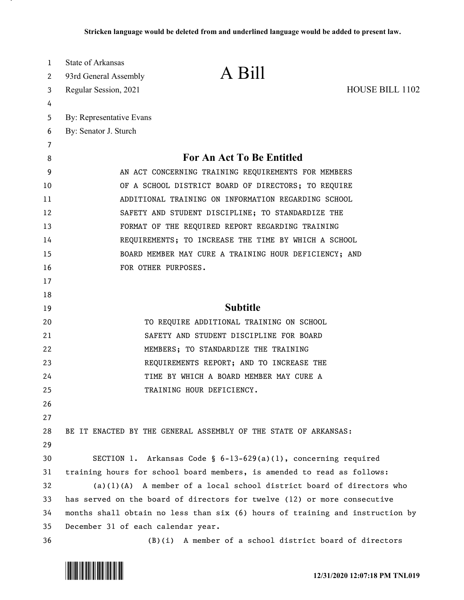| $\mathbf{1}$ | State of Arkansas                                                             |                                                                 |                        |  |
|--------------|-------------------------------------------------------------------------------|-----------------------------------------------------------------|------------------------|--|
| 2            | 93rd General Assembly                                                         | A Bill                                                          |                        |  |
| 3            | Regular Session, 2021                                                         |                                                                 | <b>HOUSE BILL 1102</b> |  |
| 4            |                                                                               |                                                                 |                        |  |
| 5            | By: Representative Evans                                                      |                                                                 |                        |  |
| 6            | By: Senator J. Sturch                                                         |                                                                 |                        |  |
| 7            |                                                                               |                                                                 |                        |  |
| 8            | For An Act To Be Entitled                                                     |                                                                 |                        |  |
| 9            | AN ACT CONCERNING TRAINING REQUIREMENTS FOR MEMBERS                           |                                                                 |                        |  |
| 10           | OF A SCHOOL DISTRICT BOARD OF DIRECTORS; TO REQUIRE                           |                                                                 |                        |  |
| 11           | ADDITIONAL TRAINING ON INFORMATION REGARDING SCHOOL                           |                                                                 |                        |  |
| 12           | SAFETY AND STUDENT DISCIPLINE; TO STANDARDIZE THE                             |                                                                 |                        |  |
| 13           | FORMAT OF THE REQUIRED REPORT REGARDING TRAINING                              |                                                                 |                        |  |
| 14           | REQUIREMENTS; TO INCREASE THE TIME BY WHICH A SCHOOL                          |                                                                 |                        |  |
| 15           | BOARD MEMBER MAY CURE A TRAINING HOUR DEFICIENCY; AND                         |                                                                 |                        |  |
| 16           | FOR OTHER PURPOSES.                                                           |                                                                 |                        |  |
| 17           |                                                                               |                                                                 |                        |  |
| 18           |                                                                               |                                                                 |                        |  |
| 19           | <b>Subtitle</b>                                                               |                                                                 |                        |  |
| 20           | TO REQUIRE ADDITIONAL TRAINING ON SCHOOL                                      |                                                                 |                        |  |
| 21           | SAFETY AND STUDENT DISCIPLINE FOR BOARD                                       |                                                                 |                        |  |
| 22           | MEMBERS; TO STANDARDIZE THE TRAINING                                          |                                                                 |                        |  |
| 23           | REQUIREMENTS REPORT; AND TO INCREASE THE                                      |                                                                 |                        |  |
| 24           | TIME BY WHICH A BOARD MEMBER MAY CURE A                                       |                                                                 |                        |  |
| 25           |                                                                               | TRAINING HOUR DEFICIENCY.                                       |                        |  |
| 26           |                                                                               |                                                                 |                        |  |
| 27           |                                                                               |                                                                 |                        |  |
| 28           |                                                                               | BE IT ENACTED BY THE GENERAL ASSEMBLY OF THE STATE OF ARKANSAS: |                        |  |
| 29           |                                                                               |                                                                 |                        |  |
| 30           |                                                                               | SECTION 1. Arkansas Code § 6-13-629(a)(1), concerning required  |                        |  |
| 31           | training hours for school board members, is amended to read as follows:       |                                                                 |                        |  |
| 32           | $(a)(1)(A)$ A member of a local school district board of directors who        |                                                                 |                        |  |
| 33           | has served on the board of directors for twelve (12) or more consecutive      |                                                                 |                        |  |
| 34           | months shall obtain no less than six (6) hours of training and instruction by |                                                                 |                        |  |
| 35           | December 31 of each calendar year.                                            |                                                                 |                        |  |
| 36           |                                                                               | $(B)(i)$ A member of a school district board of directors       |                        |  |

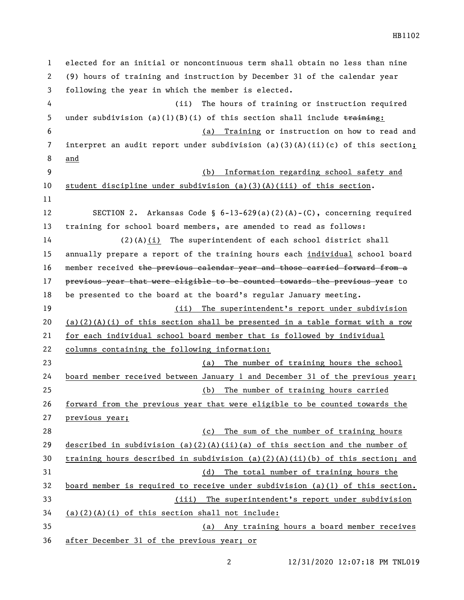elected for an initial or noncontinuous term shall obtain no less than nine (9) hours of training and instruction by December 31 of the calendar year following the year in which the member is elected. (ii) The hours of training or instruction required 5 under subdivision (a)(1)(B)(i) of this section shall include  $\frac{t}{t}$  (a) Training or instruction on how to read and interpret an audit report under subdivision (a)(3)(A)(ii)(c) of this section; and (b) Information regarding school safety and student discipline under subdivision (a)(3)(A)(iii) of this section. SECTION 2. Arkansas Code § 6-13-629(a)(2)(A)-(C), concerning required training for school board members, are amended to read as follows: (2)(A)(i) The superintendent of each school district shall annually prepare a report of the training hours each individual school board 16 member received the previous calendar year and those carried forward from a 17 previous year that were eligible to be counted towards the previous year to be presented to the board at the board's regular January meeting. (ii) The superintendent's report under subdivision 20 (a)(2)(A)(i) of this section shall be presented in a table format with a row for each individual school board member that is followed by individual columns containing the following information: (a) The number of training hours the school board member received between January 1 and December 31 of the previous year; (b) The number of training hours carried forward from the previous year that were eligible to be counted towards the previous year; (c) The sum of the number of training hours 29 described in subdivision (a)(2)(A)(ii)(a) of this section and the number of training hours described in subdivision (a)(2)(A)(ii)(b) of this section; and (d) The total number of training hours the board member is required to receive under subdivision (a)(1) of this section. (iii) The superintendent's report under subdivision (a)(2)(A)(i) of this section shall not include: (a) Any training hours a board member receives after December 31 of the previous year; or